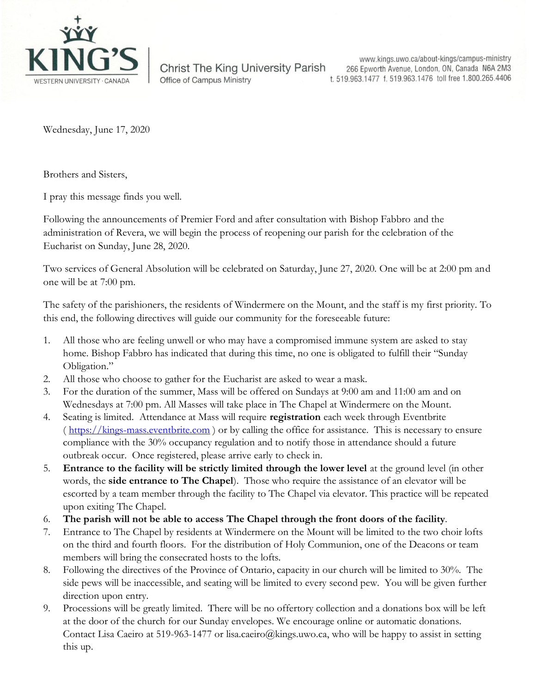

**Christ The King University Parish Office of Campus Ministry** 

www.kings.uwo.ca/about-kings/campus-ministry 266 Epworth Avenue, London, ON, Canada N6A 2M3 t. 519.963.1477 f. 519.963.1476 toll free 1.800.265.4406

Wednesday, June 17, 2020

Brothers and Sisters,

I pray this message finds you well.

Following the announcements of Premier Ford and after consultation with Bishop Fabbro and the administration of Revera, we will begin the process of reopening our parish for the celebration of the Eucharist on Sunday, June 28, 2020.

Two services of General Absolution will be celebrated on Saturday, June 27, 2020. One will be at 2:00 pm and one will be at 7:00 pm.

The safety of the parishioners, the residents of Windermere on the Mount, and the staff is my first priority. To this end, the following directives will guide our community for the foreseeable future:

- 1. All those who are feeling unwell or who may have a compromised immune system are asked to stay home. Bishop Fabbro has indicated that during this time, no one is obligated to fulfill their "Sunday Obligation."
- 2. All those who choose to gather for the Eucharist are asked to wear a mask.
- 3. For the duration of the summer, Mass will be offered on Sundays at 9:00 am and 11:00 am and on Wednesdays at 7:00 pm. All Masses will take place in The Chapel at Windermere on the Mount.
- 4. Seating is limited. Attendance at Mass will require **registration** each week through Eventbrite ( [https://kings-mass.eventbrite.com](https://kings-mass.eventbrite.com/) ) or by calling the office for assistance. This is necessary to ensure compliance with the 30% occupancy regulation and to notify those in attendance should a future outbreak occur. Once registered, please arrive early to check in.
- 5. **Entrance to the facility will be strictly limited through the lower level** at the ground level (in other words, the **side entrance to The Chapel**). Those who require the assistance of an elevator will be escorted by a team member through the facility to The Chapel via elevator. This practice will be repeated upon exiting The Chapel.
- 6. **The parish will not be able to access The Chapel through the front doors of the facility**.
- 7. Entrance to The Chapel by residents at Windermere on the Mount will be limited to the two choir lofts on the third and fourth floors. For the distribution of Holy Communion, one of the Deacons or team members will bring the consecrated hosts to the lofts.
- 8. Following the directives of the Province of Ontario, capacity in our church will be limited to 30%. The side pews will be inaccessible, and seating will be limited to every second pew. You will be given further direction upon entry.
- 9. Processions will be greatly limited. There will be no offertory collection and a donations box will be left at the door of the church for our Sunday envelopes. We encourage online or automatic donations. Contact Lisa Caeiro at 519-963-1477 or lisa.caeiro@kings.uwo.ca, who will be happy to assist in setting this up.